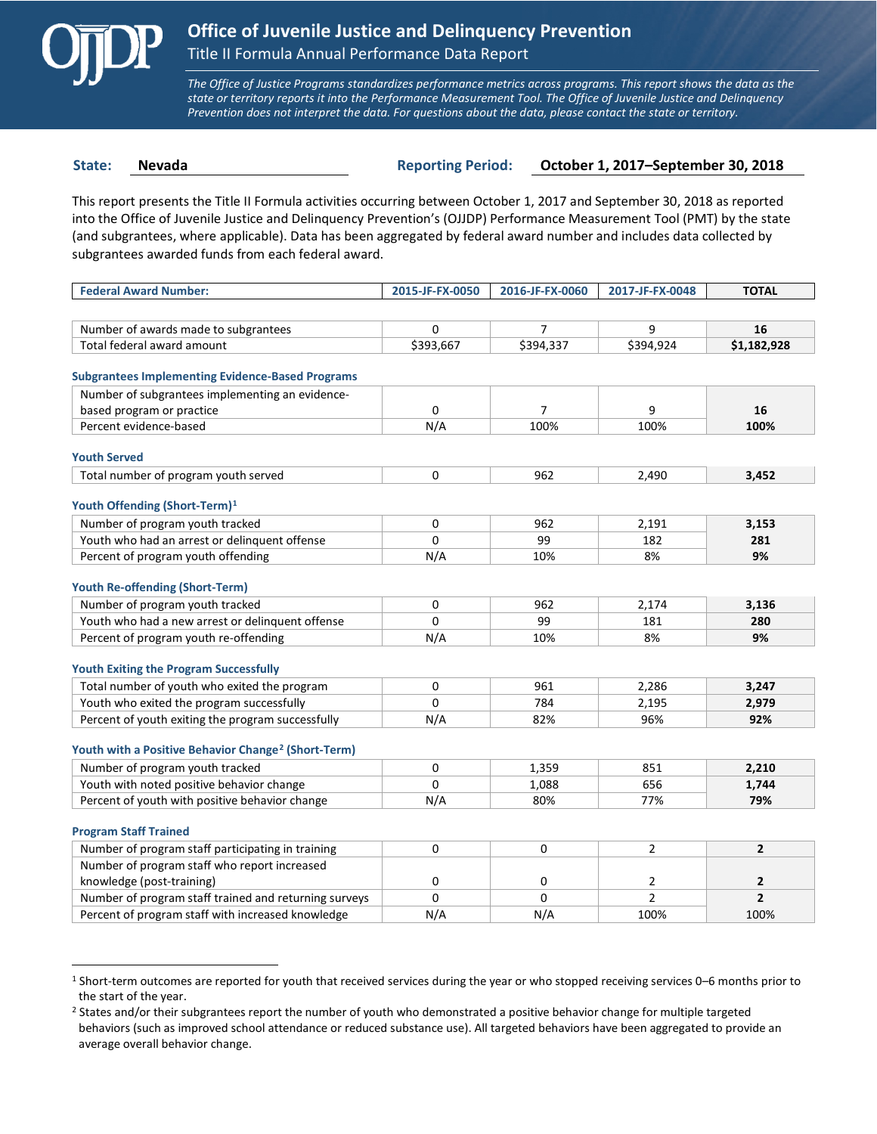

 $\overline{a}$ 

*The Office of Justice Programs standardizes performance metrics across programs. This report shows the data as the state or territory reports it into the Performance Measurement Tool. The Office of Juvenile Justice and Delinquency Prevention does not interpret the data. For questions about the data, please contact the state or territory.*

**State: Nevada Reporting Period: October 1, 2017–September 30, 2018**

This report presents the Title II Formula activities occurring between October 1, 2017 and September 30, 2018 as reported into the Office of Juvenile Justice and Delinquency Prevention's (OJJDP) Performance Measurement Tool (PMT) by the state (and subgrantees, where applicable). Data has been aggregated by federal award number and includes data collected by subgrantees awarded funds from each federal award.

| <b>Federal Award Number:</b>                                    | 2015-JF-FX-0050 | 2016-JF-FX-0060 | 2017-JF-FX-0048 | <b>TOTAL</b>   |
|-----------------------------------------------------------------|-----------------|-----------------|-----------------|----------------|
|                                                                 |                 |                 |                 |                |
| Number of awards made to subgrantees                            | 0               | $\overline{7}$  | 9               | 16             |
| Total federal award amount                                      | \$393,667       | \$394,337       | \$394,924       | \$1,182,928    |
|                                                                 |                 |                 |                 |                |
| <b>Subgrantees Implementing Evidence-Based Programs</b>         |                 |                 |                 |                |
| Number of subgrantees implementing an evidence-                 |                 |                 |                 |                |
| based program or practice                                       | 0               | $\overline{7}$  | 9               | 16             |
| Percent evidence-based                                          | N/A             | 100%            | 100%            | 100%           |
| <b>Youth Served</b>                                             |                 |                 |                 |                |
| Total number of program youth served                            | 0               | 962             | 2,490           | 3,452          |
|                                                                 |                 |                 |                 |                |
| Youth Offending (Short-Term) <sup>1</sup>                       |                 |                 |                 |                |
| Number of program youth tracked                                 | 0               | 962             | 2,191           | 3,153          |
| Youth who had an arrest or delinquent offense                   | $\Omega$        | 99              | 182             | 281            |
| Percent of program youth offending                              | N/A             | 10%             | 8%              | 9%             |
|                                                                 |                 |                 |                 |                |
| <b>Youth Re-offending (Short-Term)</b>                          |                 |                 |                 |                |
| Number of program youth tracked                                 | 0               | 962             | 2,174           | 3,136          |
| Youth who had a new arrest or delinguent offense                | $\Omega$        | 99              | 181             | 280            |
| Percent of program youth re-offending                           | N/A             | 10%             | 8%              | 9%             |
| <b>Youth Exiting the Program Successfully</b>                   |                 |                 |                 |                |
| Total number of youth who exited the program                    | $\Omega$        | 961             | 2.286           | 3,247          |
| Youth who exited the program successfully                       | $\Omega$        | 784             | 2,195           | 2,979          |
| Percent of youth exiting the program successfully               | N/A             | 82%             | 96%             | 92%            |
|                                                                 |                 |                 |                 |                |
| Youth with a Positive Behavior Change <sup>2</sup> (Short-Term) |                 |                 |                 |                |
| Number of program youth tracked                                 | 0               | 1,359           | 851             | 2,210          |
| Youth with noted positive behavior change                       | $\Omega$        | 1,088           | 656             | 1,744          |
| Percent of youth with positive behavior change                  | N/A             | 80%             | 77%             | 79%            |
|                                                                 |                 |                 |                 |                |
| <b>Program Staff Trained</b>                                    |                 |                 |                 |                |
| Number of program staff participating in training               | 0               | 0               | $\overline{2}$  | $\overline{2}$ |
| Number of program staff who report increased                    |                 |                 |                 |                |
| knowledge (post-training)                                       | 0               | 0               | $\overline{2}$  | $\mathbf{2}$   |
| Number of program staff trained and returning surveys           | $\Omega$        | $\Omega$        | $\overline{2}$  | $\overline{2}$ |
| Percent of program staff with increased knowledge               | N/A             | N/A             | 100%            | 100%           |

<span id="page-0-0"></span><sup>1</sup> Short-term outcomes are reported for youth that received services during the year or who stopped receiving services 0–6 months prior to the start of the year.

<span id="page-0-1"></span><sup>&</sup>lt;sup>2</sup> States and/or their subgrantees report the number of youth who demonstrated a positive behavior change for multiple targeted behaviors (such as improved school attendance or reduced substance use). All targeted behaviors have been aggregated to provide an average overall behavior change.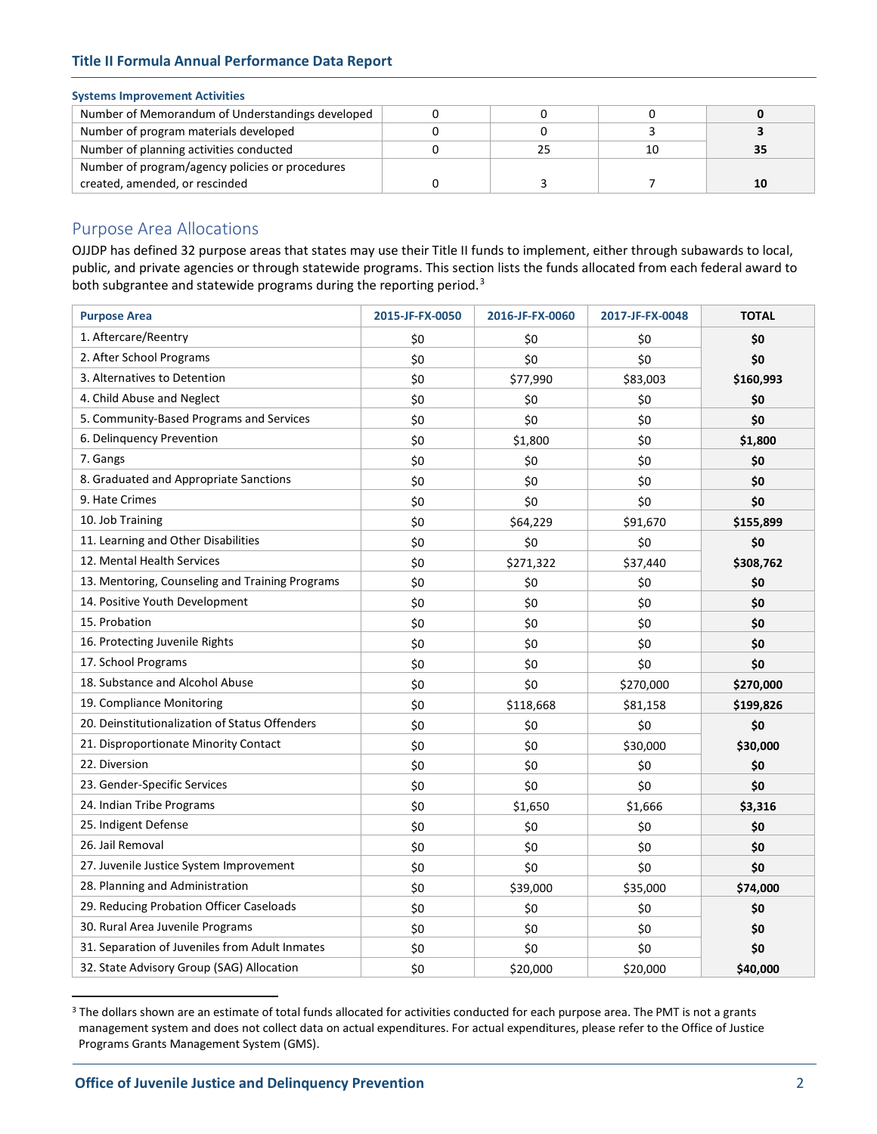# **Title II Formula Annual Performance Data Report**

## **Systems Improvement Activities**

| Number of Memorandum of Understandings developed |  |    |  |
|--------------------------------------------------|--|----|--|
| Number of program materials developed            |  |    |  |
| Number of planning activities conducted          |  | 10 |  |
| Number of program/agency policies or procedures  |  |    |  |
| created, amended, or rescinded                   |  |    |  |

# Purpose Area Allocations

OJJDP has defined 32 purpose areas that states may use their Title II funds to implement, either through subawards to local, public, and private agencies or through statewide programs. This section lists the funds allocated from each federal award to both subgrantee and statewide programs during the reporting period.<sup>[3](#page-1-0)</sup>

| <b>Purpose Area</b>                             | 2015-JF-FX-0050 | 2016-JF-FX-0060 | 2017-JF-FX-0048 | <b>TOTAL</b> |
|-------------------------------------------------|-----------------|-----------------|-----------------|--------------|
| 1. Aftercare/Reentry                            | \$0             | \$0             | \$0             | \$0          |
| 2. After School Programs                        | \$0             | \$0             | \$0             | \$0          |
| 3. Alternatives to Detention                    | \$0             | \$77,990        | \$83,003        | \$160,993    |
| 4. Child Abuse and Neglect                      | \$0             | \$0             | \$0             | \$0          |
| 5. Community-Based Programs and Services        | \$0             | \$0             | \$0             | \$0          |
| 6. Delinquency Prevention                       | \$0             | \$1,800         | \$0             | \$1,800      |
| 7. Gangs                                        | \$0             | \$0             | \$0             | \$0          |
| 8. Graduated and Appropriate Sanctions          | \$0             | \$0             | \$0             | \$0          |
| 9. Hate Crimes                                  | \$0             | \$0             | \$0             | \$0          |
| 10. Job Training                                | \$0             | \$64,229        | \$91,670        | \$155,899    |
| 11. Learning and Other Disabilities             | \$0             | \$0             | \$0             | \$0          |
| 12. Mental Health Services                      | \$0             | \$271,322       | \$37,440        | \$308,762    |
| 13. Mentoring, Counseling and Training Programs | \$0             | \$0             | \$0             | \$0          |
| 14. Positive Youth Development                  | \$0             | \$0             | \$0             | \$0          |
| 15. Probation                                   | \$0             | \$0             | \$0             | \$0          |
| 16. Protecting Juvenile Rights                  | \$0             | \$0             | \$0             | \$0          |
| 17. School Programs                             | \$0             | \$0             | \$0             | \$0          |
| 18. Substance and Alcohol Abuse                 | \$0             | \$0             | \$270,000       | \$270,000    |
| 19. Compliance Monitoring                       | \$0             | \$118,668       | \$81,158        | \$199,826    |
| 20. Deinstitutionalization of Status Offenders  | \$0             | \$0             | \$0             | \$0          |
| 21. Disproportionate Minority Contact           | \$0             | \$0             | \$30,000        | \$30,000     |
| 22. Diversion                                   | \$0             | \$0             | \$0             | \$0          |
| 23. Gender-Specific Services                    | \$0             | \$0             | \$0             | \$0          |
| 24. Indian Tribe Programs                       | \$0             | \$1,650         | \$1,666         | \$3,316      |
| 25. Indigent Defense                            | \$0             | \$0             | \$0             | \$0          |
| 26. Jail Removal                                | \$0             | \$0             | \$0             | \$0          |
| 27. Juvenile Justice System Improvement         | \$0             | \$0             | \$0             | \$0          |
| 28. Planning and Administration                 | \$0             | \$39,000        | \$35,000        | \$74,000     |
| 29. Reducing Probation Officer Caseloads        | \$0             | \$0             | \$0             | \$0          |
| 30. Rural Area Juvenile Programs                | \$0             | \$0             | \$0             | \$0          |
| 31. Separation of Juveniles from Adult Inmates  | \$0             | \$0             | \$0             | \$0          |
| 32. State Advisory Group (SAG) Allocation       | \$0             | \$20,000        | \$20,000        | \$40,000     |

<span id="page-1-0"></span><sup>&</sup>lt;sup>3</sup> The dollars shown are an estimate of total funds allocated for activities conducted for each purpose area. The PMT is not a grants management system and does not collect data on actual expenditures. For actual expenditures, please refer to the Office of Justice Programs Grants Management System (GMS).

 $\overline{a}$